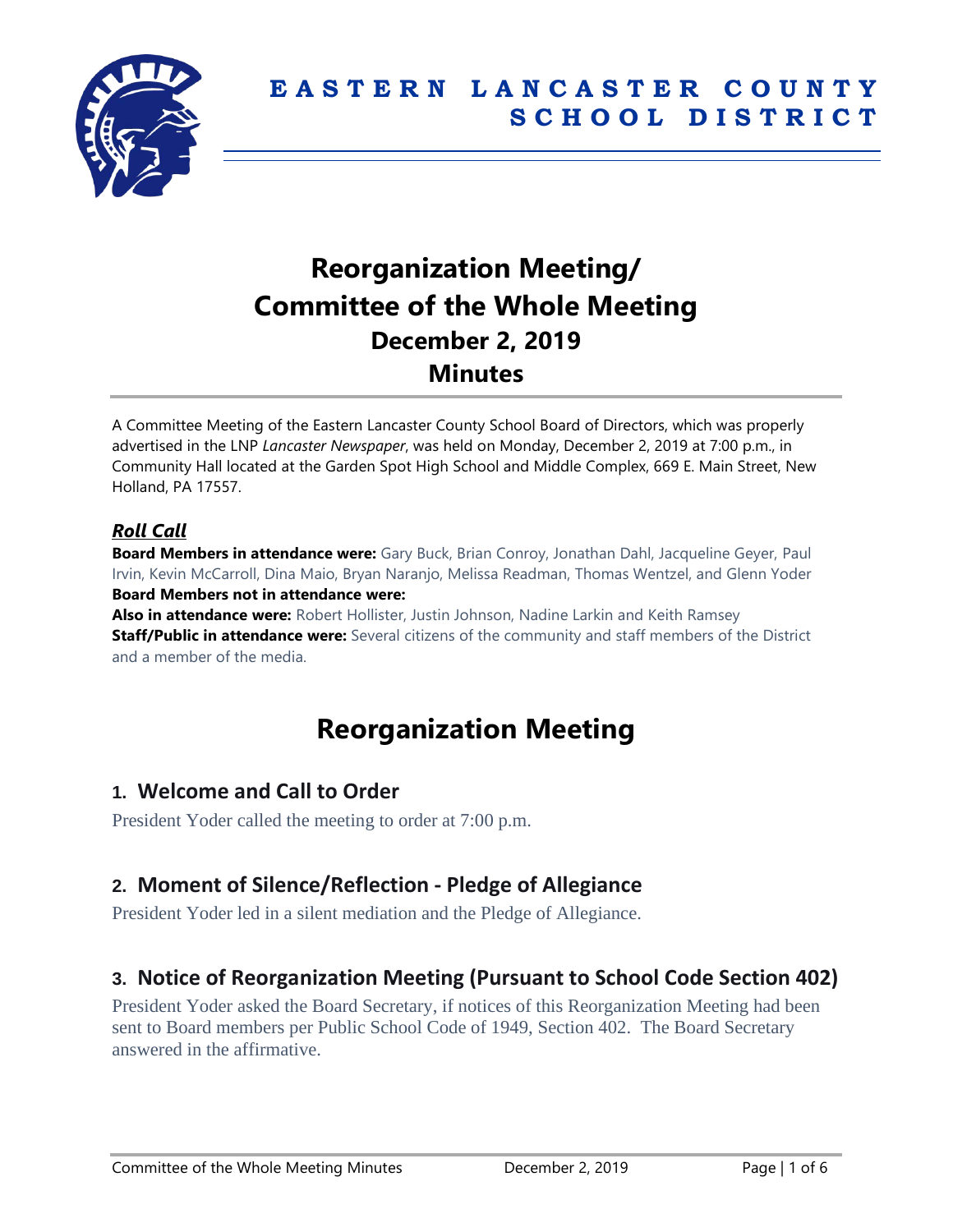

# **Reorganization Meeting/ Committee of the Whole Meeting December 2, 2019 Minutes**

A Committee Meeting of the Eastern Lancaster County School Board of Directors, which was properly advertised in the LNP *Lancaster Newspaper*, was held on Monday, December 2, 2019 at 7:00 p.m., in Community Hall located at the Garden Spot High School and Middle Complex, 669 E. Main Street, New Holland, PA 17557.

#### *Roll Call*

**Board Members in attendance were:** Gary Buck, Brian Conroy, Jonathan Dahl, Jacqueline Geyer, Paul Irvin, Kevin McCarroll, Dina Maio, Bryan Naranjo, Melissa Readman, Thomas Wentzel, and Glenn Yoder **Board Members not in attendance were:** 

**Also in attendance were:** Robert Hollister, Justin Johnson, Nadine Larkin and Keith Ramsey **Staff/Public in attendance were:** Several citizens of the community and staff members of the District and a member of the media.

# **Reorganization Meeting**

### **1. Welcome and Call to Order**

President Yoder called the meeting to order at 7:00 p.m.

# **2. Moment of Silence/Reflection - Pledge of Allegiance**

President Yoder led in a silent mediation and the Pledge of Allegiance.

# **3. Notice of Reorganization Meeting (Pursuant to School Code Section 402)**

President Yoder asked the Board Secretary, if notices of this Reorganization Meeting had been sent to Board members per Public School Code of 1949, Section 402. The Board Secretary answered in the affirmative.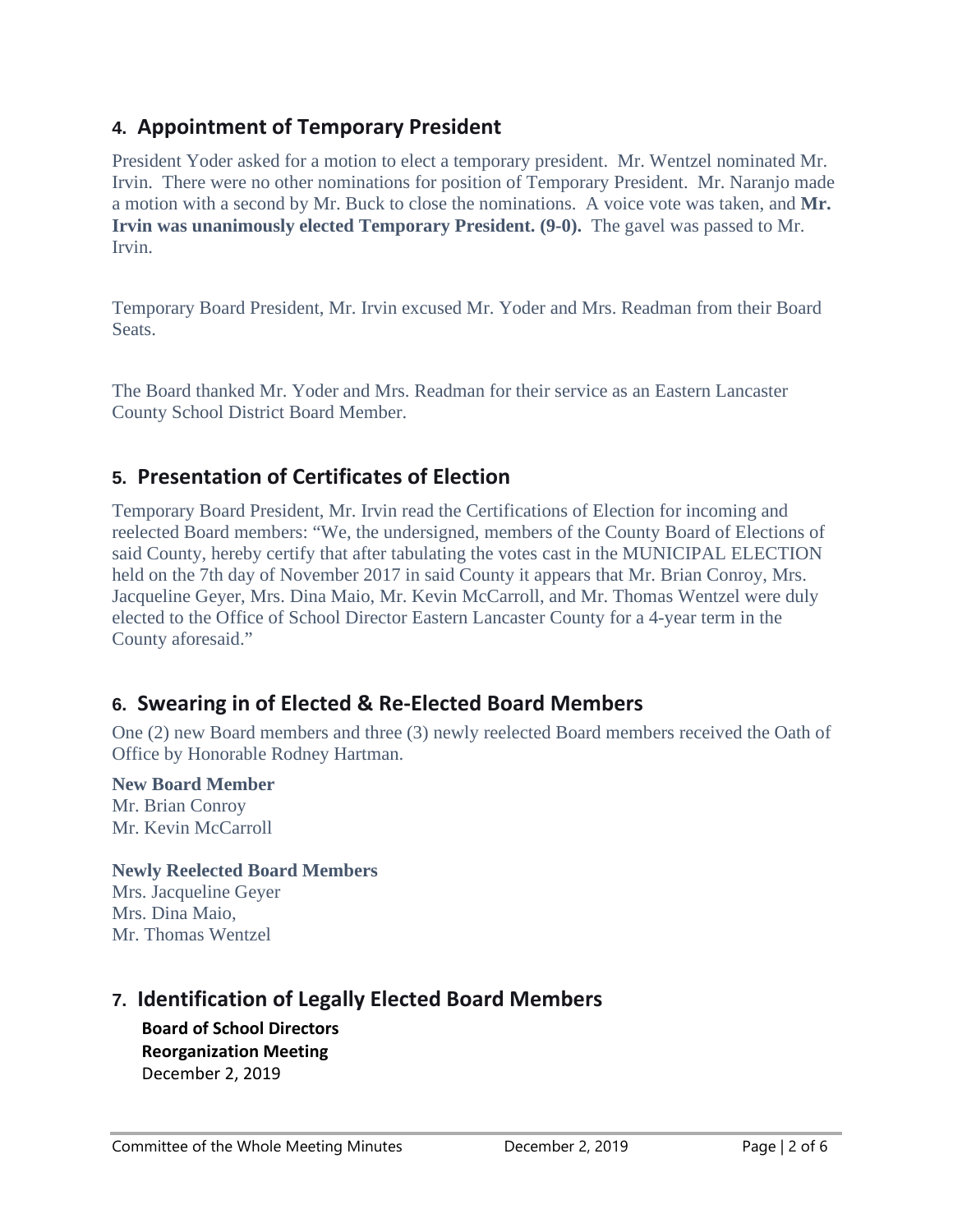# **4. Appointment of Temporary President**

President Yoder asked for a motion to elect a temporary president. Mr. Wentzel nominated Mr. Irvin. There were no other nominations for position of Temporary President. Mr. Naranjo made a motion with a second by Mr. Buck to close the nominations. A voice vote was taken, and **Mr. Irvin was unanimously elected Temporary President. (9-0).** The gavel was passed to Mr. Irvin.

Temporary Board President, Mr. Irvin excused Mr. Yoder and Mrs. Readman from their Board Seats.

The Board thanked Mr. Yoder and Mrs. Readman for their service as an Eastern Lancaster County School District Board Member.

# **5. Presentation of Certificates of Election**

Temporary Board President, Mr. Irvin read the Certifications of Election for incoming and reelected Board members: "We, the undersigned, members of the County Board of Elections of said County, hereby certify that after tabulating the votes cast in the MUNICIPAL ELECTION held on the 7th day of November 2017 in said County it appears that Mr. Brian Conroy, Mrs. Jacqueline Geyer, Mrs. Dina Maio, Mr. Kevin McCarroll, and Mr. Thomas Wentzel were duly elected to the Office of School Director Eastern Lancaster County for a 4-year term in the County aforesaid."

# **6. Swearing in of Elected & Re-Elected Board Members**

One (2) new Board members and three (3) newly reelected Board members received the Oath of Office by Honorable Rodney Hartman.

#### **New Board Member**

Mr. Brian Conroy Mr. Kevin McCarroll

#### **Newly Reelected Board Members**

Mrs. Jacqueline Geyer Mrs. Dina Maio, Mr. Thomas Wentzel

## **7. Identification of Legally Elected Board Members**

**Board of School Directors Reorganization Meeting** December 2, 2019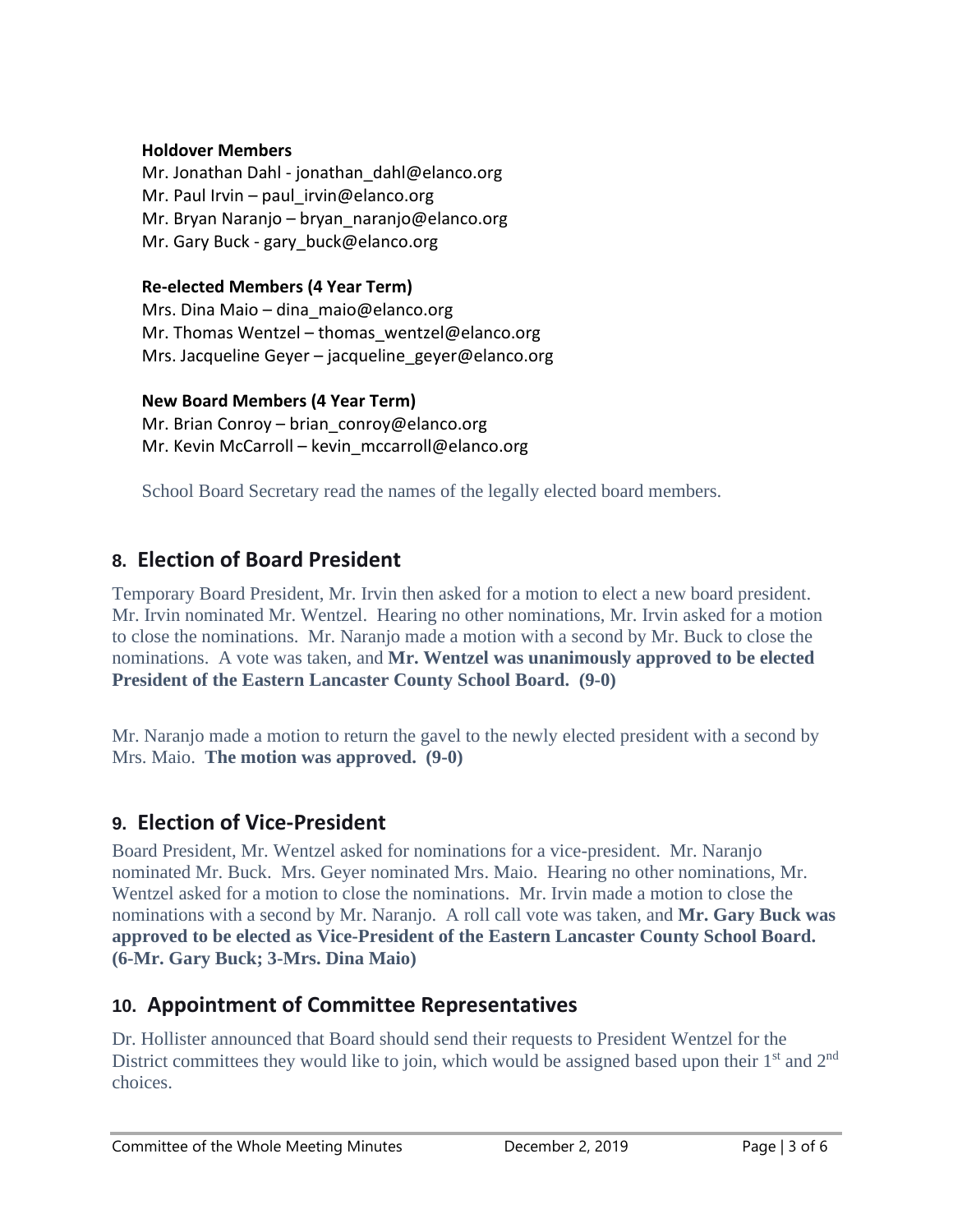#### **Holdover Members**

Mr. Jonathan Dahl - jonathan\_dahl@elanco.org Mr. Paul Irvin – paul irvin@elanco.org Mr. Bryan Naranjo – bryan naranjo@elanco.org Mr. Gary Buck - gary buck@elanco.org

#### **Re-elected Members (4 Year Term)**

Mrs. Dina Maio – dina\_maio@elanco.org Mr. Thomas Wentzel – thomas wentzel@elanco.org Mrs. Jacqueline Geyer – jacqueline\_geyer@elanco.org

#### **New Board Members (4 Year Term)**

Mr. Brian Conroy – brian conroy@elanco.org Mr. Kevin McCarroll – kevin mccarroll@elanco.org

School Board Secretary read the names of the legally elected board members.

# **8. Election of Board President**

Temporary Board President, Mr. Irvin then asked for a motion to elect a new board president. Mr. Irvin nominated Mr. Wentzel. Hearing no other nominations, Mr. Irvin asked for a motion to close the nominations. Mr. Naranjo made a motion with a second by Mr. Buck to close the nominations. A vote was taken, and **Mr. Wentzel was unanimously approved to be elected President of the Eastern Lancaster County School Board. (9-0)**

Mr. Naranjo made a motion to return the gavel to the newly elected president with a second by Mrs. Maio. **The motion was approved. (9-0)**

## **9. Election of Vice-President**

Board President, Mr. Wentzel asked for nominations for a vice-president. Mr. Naranjo nominated Mr. Buck. Mrs. Geyer nominated Mrs. Maio. Hearing no other nominations, Mr. Wentzel asked for a motion to close the nominations. Mr. Irvin made a motion to close the nominations with a second by Mr. Naranjo. A roll call vote was taken, and **Mr. Gary Buck was approved to be elected as Vice-President of the Eastern Lancaster County School Board. (6-Mr. Gary Buck; 3-Mrs. Dina Maio)** 

### **10. Appointment of Committee Representatives**

Dr. Hollister announced that Board should send their requests to President Wentzel for the District committees they would like to join, which would be assigned based upon their 1<sup>st</sup> and 2<sup>nd</sup> choices.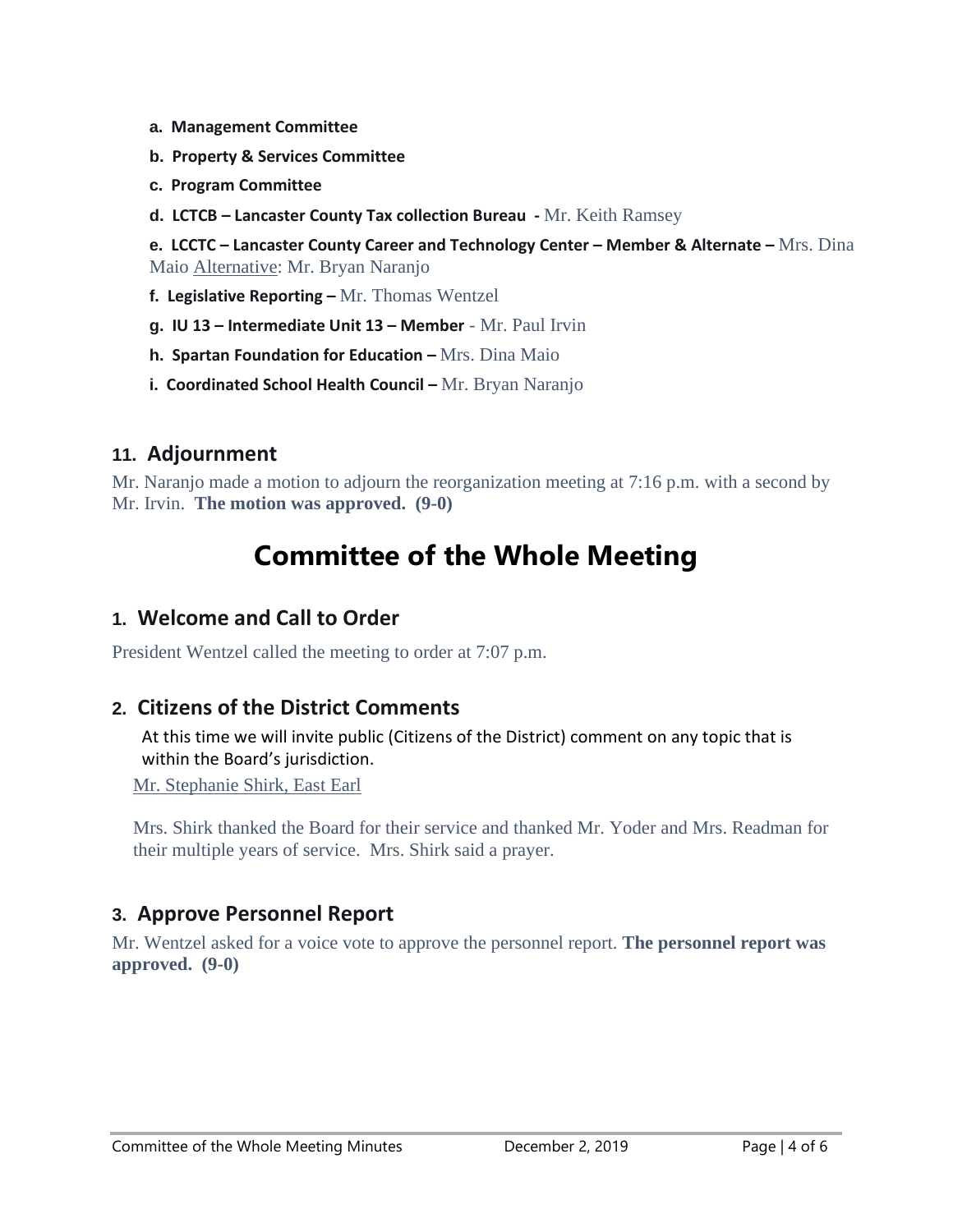- **a. Management Committee**
- **b. Property & Services Committee**
- **c. Program Committee**
- **d. LCTCB – Lancaster County Tax collection Bureau -** Mr. Keith Ramsey

**e. LCCTC – Lancaster County Career and Technology Center – Member & Alternate –** Mrs. Dina Maio Alternative: Mr. Bryan Naranjo

- **f. Legislative Reporting –** Mr. Thomas Wentzel
- **g. IU 13 – Intermediate Unit 13 – Member** Mr. Paul Irvin
- **h. Spartan Foundation for Education –** Mrs. Dina Maio
- **i. Coordinated School Health Council –** Mr. Bryan Naranjo

#### **11. Adjournment**

Mr. Naranjo made a motion to adjourn the reorganization meeting at 7:16 p.m. with a second by Mr. Irvin. **The motion was approved. (9-0)** 

# **Committee of the Whole Meeting**

## **1. Welcome and Call to Order**

President Wentzel called the meeting to order at 7:07 p.m.

### **2. Citizens of the District Comments**

At this time we will invite public (Citizens of the District) comment on any topic that is within the Board's jurisdiction.

Mr. Stephanie Shirk, East Earl

Mrs. Shirk thanked the Board for their service and thanked Mr. Yoder and Mrs. Readman for their multiple years of service. Mrs. Shirk said a prayer.

### **3. Approve Personnel Report**

Mr. Wentzel asked for a voice vote to approve the personnel report. **The personnel report was approved. (9-0)**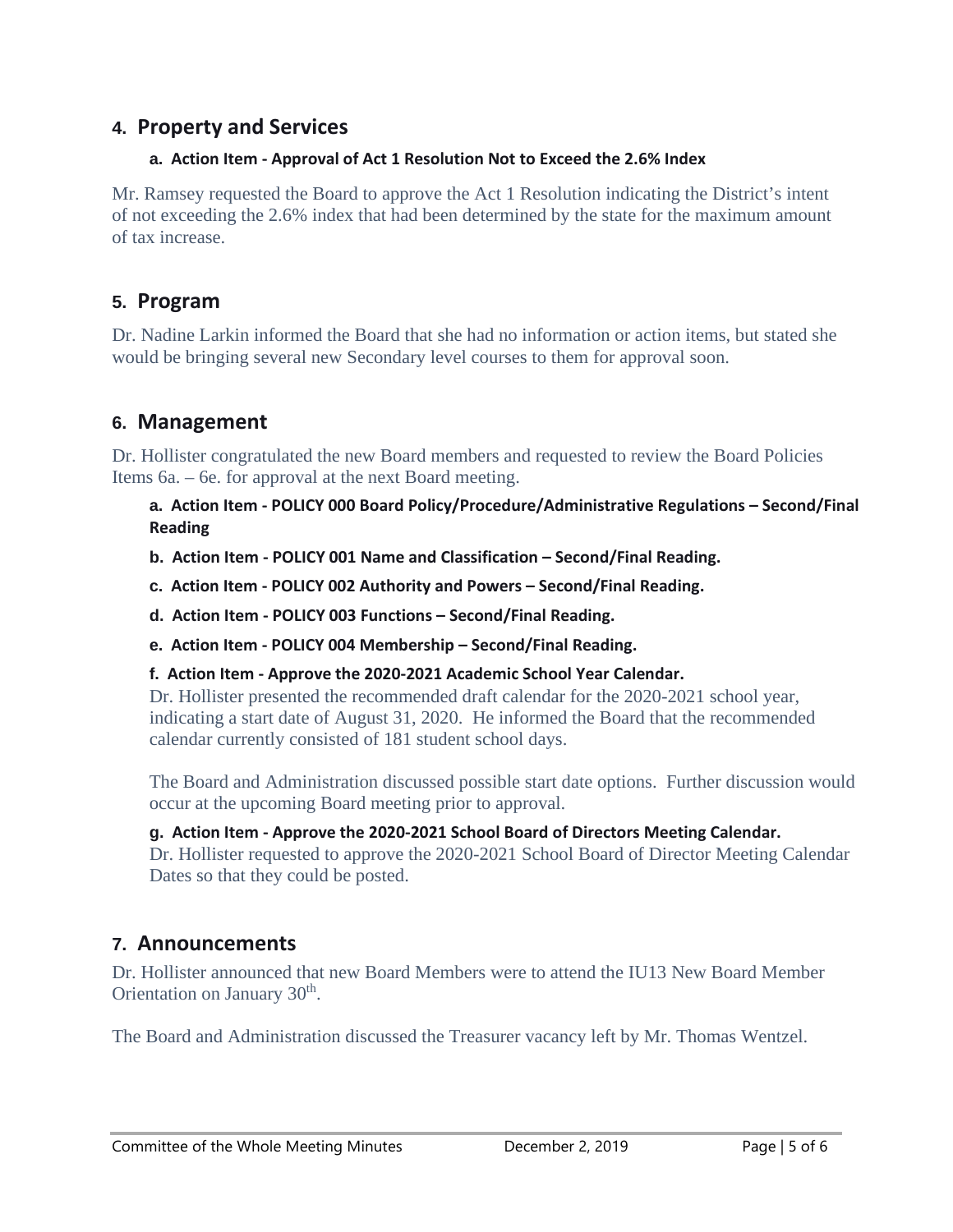## **4. Property and Services**

#### **a. Action Item - Approval of Act 1 Resolution Not to Exceed the 2.6% Index**

Mr. Ramsey requested the Board to approve the Act 1 Resolution indicating the District's intent of not exceeding the 2.6% index that had been determined by the state for the maximum amount of tax increase.

## **5. Program**

Dr. Nadine Larkin informed the Board that she had no information or action items, but stated she would be bringing several new Secondary level courses to them for approval soon.

## **6. Management**

Dr. Hollister congratulated the new Board members and requested to review the Board Policies Items 6a. – 6e. for approval at the next Board meeting.

**a. Action Item - POLICY 000 Board Policy/Procedure/Administrative Regulations – Second/Final Reading**

**b. Action Item - POLICY 001 Name and Classification – Second/Final Reading.**

**c. Action Item - POLICY 002 Authority and Powers – Second/Final Reading.**

**d. Action Item - POLICY 003 Functions – Second/Final Reading.**

**e. Action Item - POLICY 004 Membership – Second/Final Reading.**

**f. Action Item - Approve the 2020-2021 Academic School Year Calendar.**

Dr. Hollister presented the recommended draft calendar for the 2020-2021 school year, indicating a start date of August 31, 2020. He informed the Board that the recommended calendar currently consisted of 181 student school days.

The Board and Administration discussed possible start date options. Further discussion would occur at the upcoming Board meeting prior to approval.

#### **g. Action Item - Approve the 2020-2021 School Board of Directors Meeting Calendar.**

Dr. Hollister requested to approve the 2020-2021 School Board of Director Meeting Calendar Dates so that they could be posted.

## **7. Announcements**

Dr. Hollister announced that new Board Members were to attend the IU13 New Board Member Orientation on January 30<sup>th</sup>.

The Board and Administration discussed the Treasurer vacancy left by Mr. Thomas Wentzel.